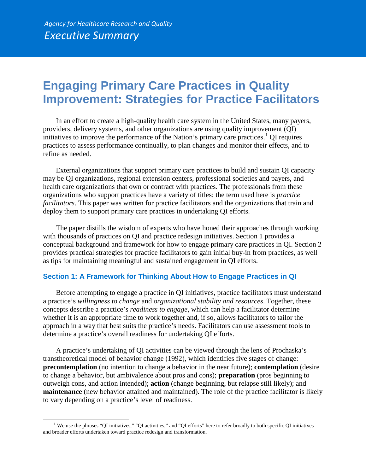## **Engaging Primary Care Practices in Quality Improvement: Strategies for Practice Facilitators**

In an effort to create a high-quality health care system in the United States, many payers, providers, delivery systems, and other organizations are using quality improvement (QI) initiatives to improve the performance of the Nation's primary care practices.<sup>[1](#page-0-0)</sup> QI requires practices to assess performance continually, to plan changes and monitor their effects, and to refine as needed.

External organizations that support primary care practices to build and sustain QI capacity may be QI organizations, regional extension centers, professional societies and payers, and health care organizations that own or contract with practices. The professionals from these organizations who support practices have a variety of titles; the term used here is *practice facilitators*. This paper was written for practice facilitators and the organizations that train and deploy them to support primary care practices in undertaking QI efforts.

The paper distills the wisdom of experts who have honed their approaches through working with thousands of practices on QI and practice redesign initiatives. Section 1 provides a conceptual background and framework for how to engage primary care practices in QI. Section 2 provides practical strategies for practice facilitators to gain initial buy-in from practices, as well as tips for maintaining meaningful and sustained engagement in QI efforts.

## **Section 1: A Framework for Thinking About How to Engage Practices in QI**

Before attempting to engage a practice in QI initiatives, practice facilitators must understand a practice's *willingness to change* and *organizational stability and resources*. Together, these concepts describe a practice's *readiness to engage*, which can help a facilitator determine whether it is an appropriate time to work together and, if so, allows facilitators to tailor the approach in a way that best suits the practice's needs. Facilitators can use assessment tools to determine a practice's overall readiness for undertaking QI efforts.

A practice's undertaking of QI activities can be viewed through the lens of Prochaska's transtheoretical model of behavior change (1992), which identifies five stages of change: **precontemplation** (no intention to change a behavior in the near future); **contemplation** (desire to change a behavior, but ambivalence about pros and cons); **preparation** (pros beginning to outweigh cons, and action intended); **action** (change beginning, but relapse still likely); and **maintenance** (new behavior attained and maintained). The role of the practice facilitator is likely to vary depending on a practice's level of readiness.

 $\overline{a}$ 

<span id="page-0-0"></span><sup>&</sup>lt;sup>1</sup> We use the phrases "QI initiatives," "QI activities," and "QI efforts" here to refer broadly to both specific QI initiatives and broader efforts undertaken toward practice redesign and transformation.